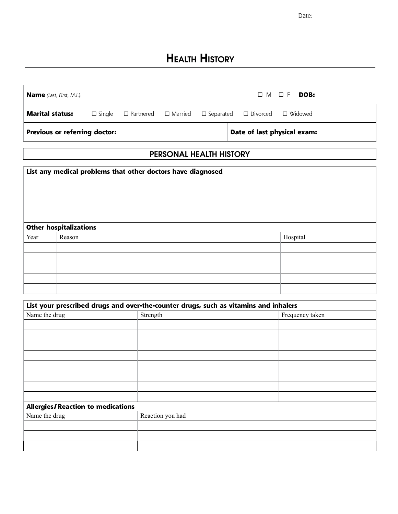Date:

# Health History

| <b>Name</b> (Last, First, M.I.):     |  |  |                                                                                               | $\Box M \Box F$ | DOB: |  |
|--------------------------------------|--|--|-----------------------------------------------------------------------------------------------|-----------------|------|--|
| <b>Marital status:</b>               |  |  | $\Box$ Single $\Box$ Partnered $\Box$ Married $\Box$ Separated $\Box$ Divorced $\Box$ Widowed |                 |      |  |
| <b>Previous or referring doctor:</b> |  |  | Date of last physical exam:                                                                   |                 |      |  |

### PERSONAL HEALTH HISTORY

|      | List any medical problems that other doctors have diagnosed |          |
|------|-------------------------------------------------------------|----------|
|      |                                                             |          |
|      | <b>Other hospitalizations</b>                               |          |
| Year | Reason                                                      | Hospital |
|      |                                                             |          |
|      |                                                             |          |
|      |                                                             |          |
|      |                                                             |          |
|      |                                                             |          |

| List your prescribed drugs and over-the-counter drugs, such as vitamins and inhalers |                  |                 |  |  |  |
|--------------------------------------------------------------------------------------|------------------|-----------------|--|--|--|
| Name the drug                                                                        | Strength         | Frequency taken |  |  |  |
|                                                                                      |                  |                 |  |  |  |
|                                                                                      |                  |                 |  |  |  |
|                                                                                      |                  |                 |  |  |  |
|                                                                                      |                  |                 |  |  |  |
|                                                                                      |                  |                 |  |  |  |
|                                                                                      |                  |                 |  |  |  |
|                                                                                      |                  |                 |  |  |  |
|                                                                                      |                  |                 |  |  |  |
| <b>Allergies/Reaction to medications</b>                                             |                  |                 |  |  |  |
| Name the drug                                                                        | Reaction you had |                 |  |  |  |
|                                                                                      |                  |                 |  |  |  |
|                                                                                      |                  |                 |  |  |  |
|                                                                                      |                  |                 |  |  |  |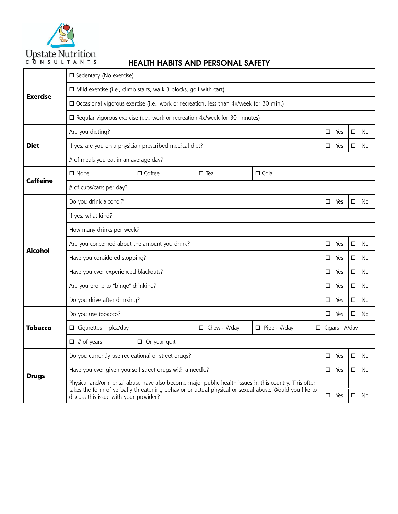

| CONSULTANTS     |                                                                                                                                                                                                                                                         | <b>HEALTH HABITS AND PERSONAL SAFETY</b> |  |  |  |        |                       |        |     |  |
|-----------------|---------------------------------------------------------------------------------------------------------------------------------------------------------------------------------------------------------------------------------------------------------|------------------------------------------|--|--|--|--------|-----------------------|--------|-----|--|
|                 | $\square$ Sedentary (No exercise)                                                                                                                                                                                                                       |                                          |  |  |  |        |                       |        |     |  |
| <b>Exercise</b> | $\Box$ Mild exercise (i.e., climb stairs, walk 3 blocks, golf with cart)                                                                                                                                                                                |                                          |  |  |  |        |                       |        |     |  |
|                 | $\Box$ Occasional vigorous exercise (i.e., work or recreation, less than 4x/week for 30 min.)                                                                                                                                                           |                                          |  |  |  |        |                       |        |     |  |
|                 | $\Box$ Regular vigorous exercise (i.e., work or recreation 4x/week for 30 minutes)                                                                                                                                                                      |                                          |  |  |  |        |                       |        |     |  |
|                 | Are you dieting?                                                                                                                                                                                                                                        |                                          |  |  |  | $\Box$ | Yes                   | □      | No  |  |
| <b>Diet</b>     | If yes, are you on a physician prescribed medical diet?                                                                                                                                                                                                 |                                          |  |  |  | □      | Yes                   | □      | No  |  |
|                 | # of meals you eat in an average day?                                                                                                                                                                                                                   |                                          |  |  |  |        |                       |        |     |  |
| <b>Caffeine</b> | $\Box$ Coffee<br>$\square$ None<br>$\Box$ Tea<br>$\Box$ Cola                                                                                                                                                                                            |                                          |  |  |  |        |                       |        |     |  |
|                 | # of cups/cans per day?                                                                                                                                                                                                                                 |                                          |  |  |  |        |                       |        |     |  |
|                 | Do you drink alcohol?                                                                                                                                                                                                                                   |                                          |  |  |  | □      | Yes                   | □      | No  |  |
|                 | If yes, what kind?                                                                                                                                                                                                                                      |                                          |  |  |  |        |                       |        |     |  |
|                 | How many drinks per week?                                                                                                                                                                                                                               |                                          |  |  |  |        |                       |        |     |  |
| <b>Alcohol</b>  | Are you concerned about the amount you drink?                                                                                                                                                                                                           |                                          |  |  |  |        | Yes                   | □      | No  |  |
|                 | Have you considered stopping?                                                                                                                                                                                                                           |                                          |  |  |  |        | Yes                   | □      | No  |  |
|                 | Have you ever experienced blackouts?                                                                                                                                                                                                                    |                                          |  |  |  |        | Yes                   | □      | No  |  |
|                 | Are you prone to "binge" drinking?                                                                                                                                                                                                                      |                                          |  |  |  |        | Yes                   | □      | No  |  |
|                 | Do you drive after drinking?<br>$\Box$                                                                                                                                                                                                                  |                                          |  |  |  |        | Yes                   | □      | No  |  |
|                 | Do you use tobacco?                                                                                                                                                                                                                                     |                                          |  |  |  | □      | Yes                   | □      | No  |  |
| <b>Tobacco</b>  | $\Box$ Cigarettes - pks./day<br>$\Box$ Chew - #/day<br>$\Box$ Pipe - #/day                                                                                                                                                                              |                                          |  |  |  |        | $\Box$ Cigars - #/day |        |     |  |
|                 | $\Box$ # of years<br>$\Box$ Or year quit                                                                                                                                                                                                                |                                          |  |  |  |        |                       |        |     |  |
|                 | Do you currently use recreational or street drugs?                                                                                                                                                                                                      |                                          |  |  |  |        | Yes                   | □      | No  |  |
| <b>Drugs</b>    | Have you ever given yourself street drugs with a needle?                                                                                                                                                                                                |                                          |  |  |  |        | $\Box$ Yes            | $\Box$ | No  |  |
|                 | Physical and/or mental abuse have also become major public health issues in this country. This often<br>takes the form of verbally threatening behavior or actual physical or sexual abuse. Would you like to<br>discuss this issue with your provider? |                                          |  |  |  |        | $\square$ Yes         | □      | No. |  |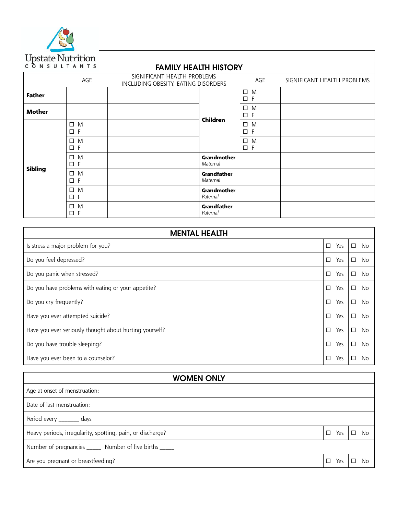

### FAMILY HEALTH HISTORY

|               |                            | ., ,                                                               |                                |                            |                             |
|---------------|----------------------------|--------------------------------------------------------------------|--------------------------------|----------------------------|-----------------------------|
|               | AGE                        | SIGNIFICANT HEALTH PROBLEMS<br>INCLUDING OBESITY, EATING DISORDERS |                                | AGE                        | SIGNIFICANT HEALTH PROBLEMS |
| <b>Father</b> |                            |                                                                    |                                | $\square$ M<br>$\square$ F |                             |
| <b>Mother</b> |                            |                                                                    | Children                       | $\square$ M<br>$\square$ F |                             |
|               | $\square$ M<br>$\square$ F |                                                                    |                                | $\square$ M<br>$\square$ F |                             |
| Sibling       | $\square$ M<br>$\square$ F |                                                                    |                                | $\square$ M<br>$\square$ F |                             |
|               | $\square$ M<br>$\square$ F |                                                                    | Grandmother<br>Maternal        |                            |                             |
|               | $\square$ M<br>$\square$ F |                                                                    | <b>Grandfather</b><br>Maternal |                            |                             |
|               | $\square$ M<br>$\square$ F |                                                                    | Grandmother<br>Paternal        |                            |                             |
|               | $\square$ M<br>$\square$ F |                                                                    | <b>Grandfather</b><br>Paternal |                            |                             |

| <b>MENTAL HEALTH</b>                                    |               |                     |
|---------------------------------------------------------|---------------|---------------------|
| Is stress a major problem for you?                      | □<br>Yes      | $\Box$<br><b>No</b> |
| Do you feel depressed?                                  | □<br>Yes      | $\Box$<br>No        |
| Do you panic when stressed?                             | $\Box$<br>Yes | □<br>No             |
| Do you have problems with eating or your appetite?      | Yes<br>□      | $\Box$<br><b>No</b> |
| Do you cry frequently?                                  | □<br>Yes      | □<br>No             |
| Have you ever attempted suicide?                        | Yes<br>□      | □<br>No             |
| Have you ever seriously thought about hurting yourself? | Yes<br>П      | $\Box$<br>No        |
| Do you have trouble sleeping?                           | Yes<br>□      | $\Box$<br><b>No</b> |
| Have you ever been to a counselor?                      | Yes           | □<br>No             |

| <b>WOMEN ONLY</b>                                          |               |              |
|------------------------------------------------------------|---------------|--------------|
| Age at onset of menstruation:                              |               |              |
| Date of last menstruation:                                 |               |              |
| Period every _________ days                                |               |              |
| Heavy periods, irregularity, spotting, pain, or discharge? | $\Box$<br>Yes | No<br>$\Box$ |
| Number of pregnancies _______ Number of live births ______ |               |              |
| Are you pregnant or breastfeeding?                         | □<br>Yes      | No           |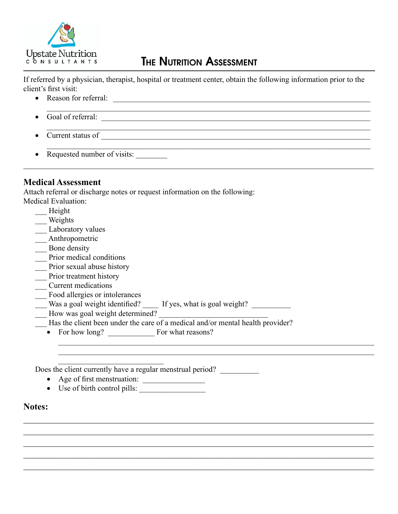

### **THE NUTRITION ASSESSMENT**

If referred by a physician, therapist, hospital or treatment center, obtain the following information prior to the client's first visit:

\_\_\_\_\_\_\_\_\_\_\_\_\_\_\_\_\_\_\_\_\_\_\_\_\_\_\_\_\_\_\_\_\_\_\_\_\_\_\_\_\_\_\_\_\_\_\_\_\_\_\_\_\_\_\_\_\_\_\_\_\_\_\_\_\_\_\_\_\_\_\_\_\_\_\_\_\_\_\_\_\_\_\_

 $\mathcal{L}_\mathcal{L} = \{ \mathcal{L}_\mathcal{L} = \{ \mathcal{L}_\mathcal{L} = \{ \mathcal{L}_\mathcal{L} = \{ \mathcal{L}_\mathcal{L} = \{ \mathcal{L}_\mathcal{L} = \{ \mathcal{L}_\mathcal{L} = \{ \mathcal{L}_\mathcal{L} = \{ \mathcal{L}_\mathcal{L} = \{ \mathcal{L}_\mathcal{L} = \{ \mathcal{L}_\mathcal{L} = \{ \mathcal{L}_\mathcal{L} = \{ \mathcal{L}_\mathcal{L} = \{ \mathcal{L}_\mathcal{L} = \{ \mathcal{L}_\mathcal{$ 

- • Reason for referral: \_\_\_\_\_\_\_\_\_\_\_\_\_\_\_\_\_\_\_\_\_\_\_\_\_\_\_\_\_\_\_\_\_\_\_\_\_\_\_\_\_\_\_\_\_\_\_\_\_\_\_\_\_\_\_\_\_\_\_\_\_\_\_\_\_\_
- Goal of referral:
- Current status of  $\qquad \qquad$
- Requested number of visits:

#### **Medical Assessment**

Attach referral or discharge notes or request information on the following:

- Medical Evaluation:
	- \_\_\_ Height
	- Weights
	- \_\_\_ Laboratory values
	- \_\_\_ Anthropometric
	- \_\_\_ Bone density
	- Prior medical conditions
	- \_\_\_ Prior sexual abuse history
	- Prior treatment history
	- \_\_\_ Current medications
	- \_\_\_ Food allergies or intolerances
	- Was a goal weight identified? \_\_\_\_\_ If yes, what is goal weight? \_\_\_\_\_\_\_\_\_\_\_\_\_\_\_
	- How was goal weight determined?
	- $\overline{\phantom{a}}$  Has the client been under the care of a medical and/or mental health provider?

\_\_\_\_\_\_\_\_\_\_\_\_\_\_\_\_\_\_\_\_\_\_\_\_\_\_\_\_\_\_\_\_\_\_\_\_\_\_\_\_\_\_\_\_\_\_\_\_\_\_\_\_\_\_\_\_\_\_\_\_\_\_\_\_\_\_\_\_\_\_\_\_\_\_\_\_\_\_\_\_\_ \_\_\_\_\_\_\_\_\_\_\_\_\_\_\_\_\_\_\_\_\_\_\_\_\_\_\_\_\_\_\_\_\_\_\_\_\_\_\_\_\_\_\_\_\_\_\_\_\_\_\_\_\_\_\_\_\_\_\_\_\_\_\_\_\_\_\_\_\_\_\_\_\_\_\_\_\_\_\_\_\_

 $\mathcal{L}_\text{max}$  , and the contribution of the contribution of the contribution of the contribution of the contribution of the contribution of the contribution of the contribution of the contribution of the contribution of t  $\mathcal{L}_\text{max}$  , and the contribution of the contribution of the contribution of the contribution of the contribution of the contribution of the contribution of the contribution of the contribution of the contribution of t  $\mathcal{L}_\text{max}$  , and the contribution of the contribution of the contribution of the contribution of the contribution of the contribution of the contribution of the contribution of the contribution of the contribution of t  $\mathcal{L}_\text{max}$  , and the contribution of the contribution of the contribution of the contribution of the contribution of the contribution of the contribution of the contribution of the contribution of the contribution of t  $\mathcal{L}_\text{max}$  , and the contribution of the contribution of the contribution of the contribution of the contribution of the contribution of the contribution of the contribution of the contribution of the contribution of t

• For how long? For what reasons?

Does the client currently have a regular menstrual period?

- • Age of first menstruation: \_\_\_\_\_\_\_\_\_\_\_\_\_\_\_\_
- Use of birth control pills:

\_\_\_\_\_\_\_\_\_\_\_\_\_\_\_\_\_\_\_\_\_\_\_\_\_\_\_

#### **Notes:**